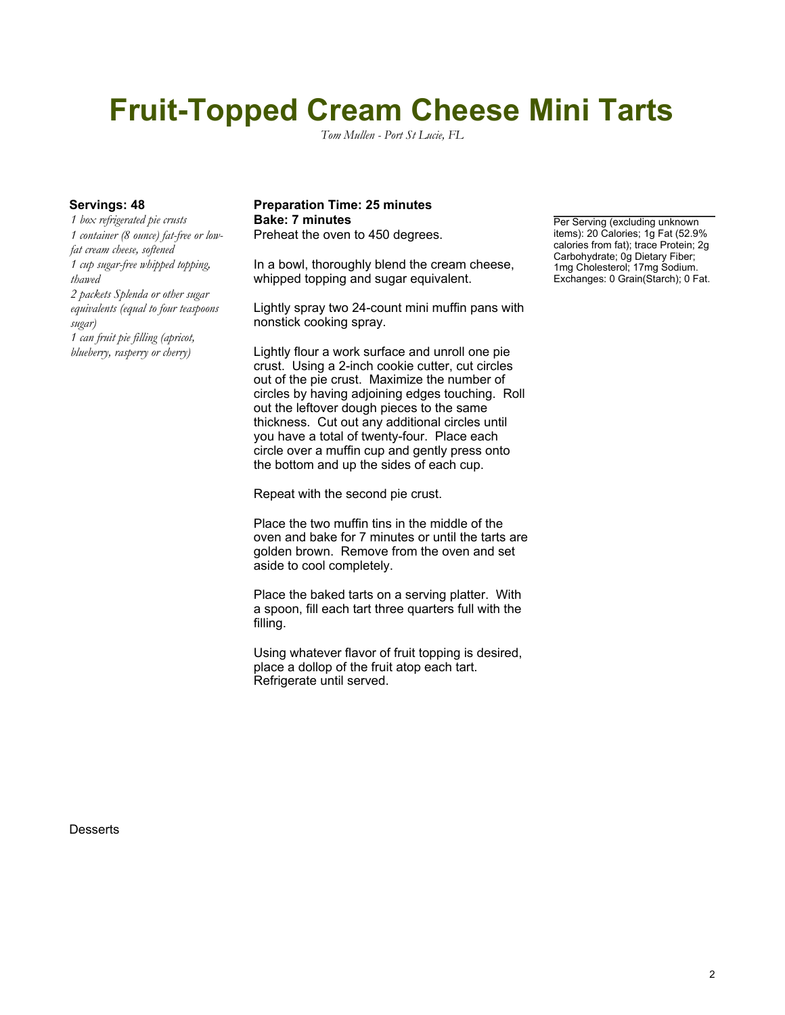# **Fruit-Topped Cream Cheese Mini Tarts**

*Tom Mullen - Port St Lucie, FL*

*1 box refrigerated pie crusts 1 container (8 ounce) fat-free or lowfat cream cheese, softened 1 cup sugar-free whipped topping, thawed 2 packets Splenda or other sugar equivalents (equal to four teaspoons sugar) 1 can fruit pie filling (apricot, blueberry, rasperry or cherry)*

### **Servings: 48 Preparation Time: 25 minutes Bake: 7 minutes Per Serving (excluding unknown**

Preheat the oven to 450 degrees.

In a bowl, thoroughly blend the cream cheese, whipped topping and sugar equivalent.

Lightly spray two 24-count mini muffin pans with nonstick cooking spray.

Lightly flour a work surface and unroll one pie crust. Using a 2-inch cookie cutter, cut circles out of the pie crust. Maximize the number of circles by having adjoining edges touching. Roll out the leftover dough pieces to the same thickness. Cut out any additional circles until you have a total of twenty-four. Place each circle over a muffin cup and gently press onto the bottom and up the sides of each cup.

Repeat with the second pie crust.

Place the two muffin tins in the middle of the oven and bake for 7 minutes or until the tarts are golden brown. Remove from the oven and set aside to cool completely.

Place the baked tarts on a serving platter. With a spoon, fill each tart three quarters full with the filling.

Using whatever flavor of fruit topping is desired, place a dollop of the fruit atop each tart. Refrigerate until served.

items): 20 Calories; 1g Fat (52.9% calories from fat); trace Protein; 2g Carbohydrate; 0g Dietary Fiber; 1mg Cholesterol; 17mg Sodium. Exchanges: 0 Grain(Starch); 0 Fat.

**Desserts**